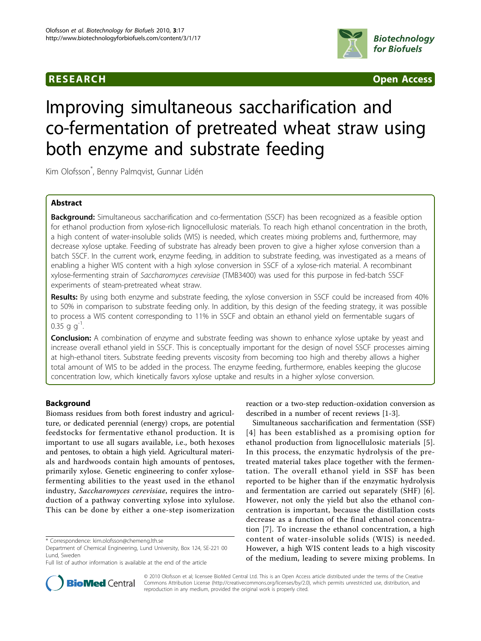

**RESEARCH CONSUMING ACCESS CONSUMING ACCESS** 

# Improving simultaneous saccharification and co-fermentation of pretreated wheat straw using both enzyme and substrate feeding

Kim Olofsson\* , Benny Palmqvist, Gunnar Lidén

# Abstract

**Background:** Simultaneous saccharification and co-fermentation (SSCF) has been recognized as a feasible option for ethanol production from xylose-rich lignocellulosic materials. To reach high ethanol concentration in the broth, a high content of water-insoluble solids (WIS) is needed, which creates mixing problems and, furthermore, may decrease xylose uptake. Feeding of substrate has already been proven to give a higher xylose conversion than a batch SSCF. In the current work, enzyme feeding, in addition to substrate feeding, was investigated as a means of enabling a higher WIS content with a high xylose conversion in SSCF of a xylose-rich material. A recombinant xylose-fermenting strain of Saccharomyces cerevisiae (TMB3400) was used for this purpose in fed-batch SSCF experiments of steam-pretreated wheat straw.

Results: By using both enzyme and substrate feeding, the xylose conversion in SSCF could be increased from 40% to 50% in comparison to substrate feeding only. In addition, by this design of the feeding strategy, it was possible to process a WIS content corresponding to 11% in SSCF and obtain an ethanol yield on fermentable sugars of 0.35 g  $q^{-1}$ .

**Conclusion:** A combination of enzyme and substrate feeding was shown to enhance xylose uptake by yeast and increase overall ethanol yield in SSCF. This is conceptually important for the design of novel SSCF processes aiming at high-ethanol titers. Substrate feeding prevents viscosity from becoming too high and thereby allows a higher total amount of WIS to be added in the process. The enzyme feeding, furthermore, enables keeping the glucose concentration low, which kinetically favors xylose uptake and results in a higher xylose conversion.

# Background

Biomass residues from both forest industry and agriculture, or dedicated perennial (energy) crops, are potential feedstocks for fermentative ethanol production. It is important to use all sugars available, i.e., both hexoses and pentoses, to obtain a high yield. Agricultural materials and hardwoods contain high amounts of pentoses, primarily xylose. Genetic engineering to confer xylosefermenting abilities to the yeast used in the ethanol industry, Saccharomyces cerevisiae, requires the introduction of a pathway converting xylose into xylulose. This can be done by either a one-step isomerization



Simultaneous saccharification and fermentation (SSF) [[4\]](#page-7-0) has been established as a promising option for ethanol production from lignocellulosic materials [[5\]](#page-7-0). In this process, the enzymatic hydrolysis of the pretreated material takes place together with the fermentation. The overall ethanol yield in SSF has been reported to be higher than if the enzymatic hydrolysis and fermentation are carried out separately (SHF) [[6](#page-7-0)]. However, not only the yield but also the ethanol concentration is important, because the distillation costs decrease as a function of the final ethanol concentration [\[7\]](#page-7-0). To increase the ethanol concentration, a high content of water-insoluble solids (WIS) is needed. However, a high WIS content leads to a high viscosity of the medium, leading to severe mixing problems. In



© 2010 Olofsson et al; licensee BioMed Central Ltd. This is an Open Access article distributed under the terms of the Creative Commons Attribution License [\(http://creativecommons.org/licenses/by/2.0](http://creativecommons.org/licenses/by/2.0)), which permits unrestricted use, distribution, and reproduction in any medium, provided the original work is properly cited.

<sup>\*</sup> Correspondence: [kim.olofsson@chemeng.lth.se](mailto:kim.olofsson@chemeng.lth.se)

Department of Chemical Engineering, Lund University, Box 124, SE-221 00 Lund, Sweden

Full list of author information is available at the end of the article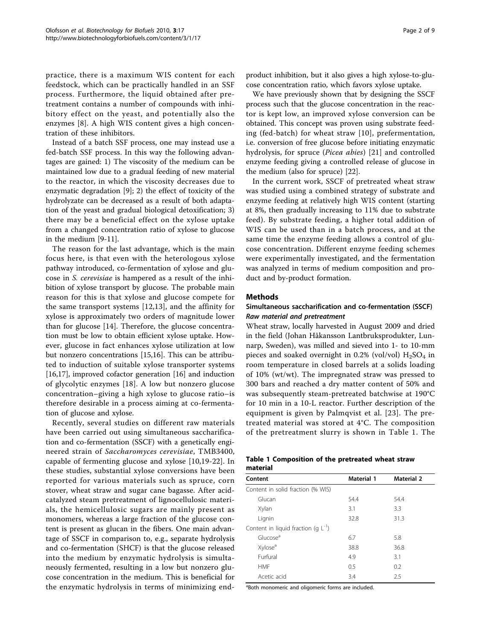practice, there is a maximum WIS content for each feedstock, which can be practically handled in an SSF process. Furthermore, the liquid obtained after pretreatment contains a number of compounds with inhibitory effect on the yeast, and potentially also the enzymes [[8](#page-7-0)]. A high WIS content gives a high concentration of these inhibitors.

Instead of a batch SSF process, one may instead use a fed-batch SSF process. In this way the following advantages are gained: 1) The viscosity of the medium can be maintained low due to a gradual feeding of new material to the reactor, in which the viscosity decreases due to enzymatic degradation [[9](#page-7-0)]; 2) the effect of toxicity of the hydrolyzate can be decreased as a result of both adaptation of the yeast and gradual biological detoxification; 3) there may be a beneficial effect on the xylose uptake from a changed concentration ratio of xylose to glucose in the medium [\[9-11](#page-7-0)].

The reason for the last advantage, which is the main focus here, is that even with the heterologous xylose pathway introduced, co-fermentation of xylose and glucose in S. cerevisiae is hampered as a result of the inhibition of xylose transport by glucose. The probable main reason for this is that xylose and glucose compete for the same transport systems [[12](#page-7-0),[13\]](#page-7-0), and the affinity for xylose is approximately two orders of magnitude lower than for glucose [[14\]](#page-7-0). Therefore, the glucose concentration must be low to obtain efficient xylose uptake. However, glucose in fact enhances xylose utilization at low but nonzero concentrations [\[15,16](#page-7-0)]. This can be attributed to induction of suitable xylose transporter systems [[16,17\]](#page-7-0), improved cofactor generation [\[16](#page-7-0)] and induction of glycolytic enzymes [[18](#page-7-0)]. A low but nonzero glucose concentration–giving a high xylose to glucose ratio–is therefore desirable in a process aiming at co-fermentation of glucose and xylose.

Recently, several studies on different raw materials have been carried out using simultaneous saccharification and co-fermentation (SSCF) with a genetically engineered strain of Saccharomyces cerevisiae, TMB3400, capable of fermenting glucose and xylose [[10,19](#page-7-0)-[22\]](#page-7-0). In these studies, substantial xylose conversions have been reported for various materials such as spruce, corn stover, wheat straw and sugar cane bagasse. After acidcatalyzed steam pretreatment of lignocellulosic materials, the hemicellulosic sugars are mainly present as monomers, whereas a large fraction of the glucose content is present as glucan in the fibers. One main advantage of SSCF in comparison to, e.g., separate hydrolysis and co-fermentation (SHCF) is that the glucose released into the medium by enzymatic hydrolysis is simultaneously fermented, resulting in a low but nonzero glucose concentration in the medium. This is beneficial for the enzymatic hydrolysis in terms of minimizing endproduct inhibition, but it also gives a high xylose-to-glucose concentration ratio, which favors xylose uptake.

We have previously shown that by designing the SSCF process such that the glucose concentration in the reactor is kept low, an improved xylose conversion can be obtained. This concept was proven using substrate feeding (fed-batch) for wheat straw [\[10\]](#page-7-0), prefermentation, i.e. conversion of free glucose before initiating enzymatic hydrolysis, for spruce (Picea abies) [[21\]](#page-7-0) and controlled enzyme feeding giving a controlled release of glucose in the medium (also for spruce) [[22\]](#page-7-0).

In the current work, SSCF of pretreated wheat straw was studied using a combined strategy of substrate and enzyme feeding at relatively high WIS content (starting at 8%, then gradually increasing to 11% due to substrate feed). By substrate feeding, a higher total addition of WIS can be used than in a batch process, and at the same time the enzyme feeding allows a control of glucose concentration. Different enzyme feeding schemes were experimentally investigated, and the fermentation was analyzed in terms of medium composition and product and by-product formation.

# Methods

### Simultaneous saccharification and co-fermentation (SSCF) Raw material and pretreatment

Wheat straw, locally harvested in August 2009 and dried in the field (Johan Håkansson Lantbruksprodukter, Lunnarp, Sweden), was milled and sieved into 1- to 10-mm pieces and soaked overnight in 0.2% (vol/vol)  $H<sub>2</sub>SO<sub>4</sub>$  in room temperature in closed barrels at a solids loading of 10% (wt/wt). The impregnated straw was pressed to 300 bars and reached a dry matter content of 50% and was subsequently steam-pretreated batchwise at 190°C for 10 min in a 10-L reactor. Further description of the equipment is given by Palmqvist et al. [[23\]](#page-7-0). The pretreated material was stored at 4°C. The composition of the pretreatment slurry is shown in Table 1. The

|          | Table 1 Composition of the pretreated wheat straw |  |  |
|----------|---------------------------------------------------|--|--|
| material |                                                   |  |  |

| Content                                  | <b>Material 1</b> | <b>Material 2</b> |  |
|------------------------------------------|-------------------|-------------------|--|
| Content in solid fraction (% WIS)        |                   |                   |  |
| Glucan                                   | 54.4              | 54.4              |  |
| Xylan                                    | 3.1               | 3.3               |  |
| Lignin                                   | 32.8              | 31.3              |  |
| Content in liquid fraction (q $L^{-1}$ ) |                   |                   |  |
| Glucose <sup>a</sup>                     | 6.7               | 5.8               |  |
| Xylose <sup>a</sup>                      | 38.8              | 36.8              |  |
| Furfural                                 | 4.9               | 3.1               |  |
| <b>HMF</b>                               | 0.5               | 0.2               |  |
| Acetic acid                              | 3.4               | 2.5               |  |

<sup>a</sup>Both monomeric and oligomeric forms are included.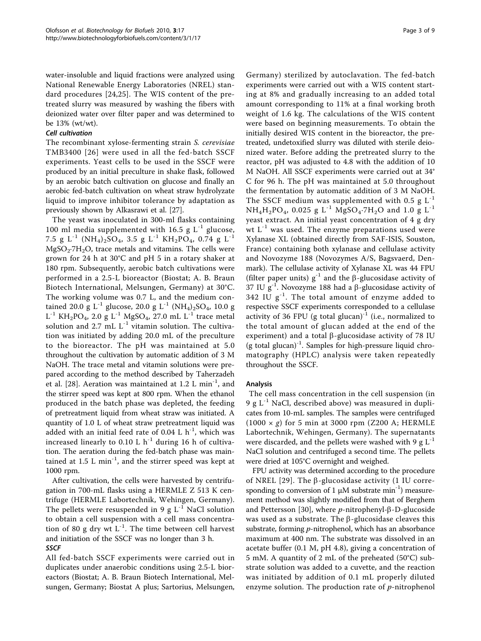water-insoluble and liquid fractions were analyzed using National Renewable Energy Laboratories (NREL) standard procedures [[24,25](#page-7-0)]. The WIS content of the pretreated slurry was measured by washing the fibers with deionized water over filter paper and was determined to be 13% (wt/wt).

# Cell cultivation

The recombinant xylose-fermenting strain S. cerevisiae TMB3400 [[26](#page-7-0)] were used in all the fed-batch SSCF experiments. Yeast cells to be used in the SSCF were produced by an initial preculture in shake flask, followed by an aerobic batch cultivation on glucose and finally an aerobic fed-batch cultivation on wheat straw hydrolyzate liquid to improve inhibitor tolerance by adaptation as previously shown by Alkasrawi et al. [[27\]](#page-7-0).

The yeast was inoculated in 300-ml flasks containing 100 ml media supplemented with 16.5 g  $L^{-1}$  glucose, 7.5 g L<sup>-1</sup> (NH<sub>4</sub>)<sub>2</sub>SO<sub>4</sub>, 3.5 g L<sup>-1</sup> KH<sub>2</sub>PO<sub>4</sub>, 0.74 g L<sup>-1</sup>  $MgSO<sub>2</sub>·7H<sub>2</sub>O$ , trace metals and vitamins. The cells were grown for 24 h at 30°C and pH 5 in a rotary shaker at 180 rpm. Subsequently, aerobic batch cultivations were performed in a 2.5-L bioreactor (Biostat; A. B. Braun Biotech International, Melsungen, Germany) at 30°C. The working volume was 0.7 L, and the medium contained 20.0 g L<sup>-1</sup> glucose, 20.0 g L<sup>-1</sup> (NH<sub>4</sub>)<sub>2</sub>SO<sub>4</sub>, 10.0 g  $L^{-1}$  KH<sub>2</sub>PO<sub>4</sub>, 2.0 g L<sup>-1</sup> MgSO<sub>4</sub>, 27.0 mL L<sup>-1</sup> trace metal solution and 2.7 mL  $L^{-1}$  vitamin solution. The cultivation was initiated by adding 20.0 mL of the preculture to the bioreactor. The pH was maintained at 5.0 throughout the cultivation by automatic addition of 3 M NaOH. The trace metal and vitamin solutions were prepared according to the method described by Taherzadeh et al. [[28\]](#page-7-0). Aeration was maintained at  $1.2$  L min<sup>-1</sup>, and the stirrer speed was kept at 800 rpm. When the ethanol produced in the batch phase was depleted, the feeding of pretreatment liquid from wheat straw was initiated. A quantity of 1.0 L of wheat straw pretreatment liquid was added with an initial feed rate of 0.04 L  $h^{-1}$ , which was increased linearly to 0.10 L  $h^{-1}$  during 16 h of cultivation. The aeration during the fed-batch phase was maintained at 1.5 L min<sup>-1</sup>, and the stirrer speed was kept at 1000 rpm.

After cultivation, the cells were harvested by centrifugation in 700-mL flasks using a HERMLE Z 513 K centrifuge (HERMLE Labortechnik, Wehingen, Germany). The pellets were resuspended in 9 g  $L^{-1}$  NaCl solution to obtain a cell suspension with a cell mass concentration of 80 g dry wt  $L^{-1}$ . The time between cell harvest and initiation of the SSCF was no longer than 3 h. **SSCF** 

All fed-batch SSCF experiments were carried out in duplicates under anaerobic conditions using 2.5-L bioreactors (Biostat; A. B. Braun Biotech International, Melsungen, Germany; Biostat A plus; Sartorius, Melsungen,

Germany) sterilized by autoclavation. The fed-batch experiments were carried out with a WIS content starting at 8% and gradually increasing to an added total amount corresponding to 11% at a final working broth weight of 1.6 kg. The calculations of the WIS content were based on beginning measurements. To obtain the initially desired WIS content in the bioreactor, the pretreated, undetoxified slurry was diluted with sterile deionized water. Before adding the pretreated slurry to the reactor, pH was adjusted to 4.8 with the addition of 10 M NaOH. All SSCF experiments were carried out at 34° C for 96 h. The pH was maintained at 5.0 throughout the fermentation by automatic addition of 3 M NaOH. The SSCF medium was supplemented with 0.5 g  $L^{-1}$  $NH_4H_2PO_4$ , 0.025 g L<sup>-1</sup> MgSO<sub>4</sub>·7H<sub>2</sub>O and 1.0 g L<sup>-1</sup> yeast extract. An initial yeast concentration of 4 g dry wt  $L^{-1}$  was used. The enzyme preparations used were Xylanase XL (obtained directly from SAF-ISIS, Souston, France) containing both xylanase and cellulase activity and Novozyme 188 (Novozymes A/S, Bagsvaerd, Denmark). The cellulase activity of Xylanase XL was 44 FPU (filter paper units)  $g^{-1}$  and the  $\beta$ -glucosidase activity of 37 IU  $g^{-1}$ . Novozyme 188 had a  $\beta$ -glucosidase activity of 342 IU  $g^{-1}$ . The total amount of enzyme added to respective SSCF experiments corresponded to a cellulase activity of 36 FPU (g total glucan) $^{-1}$  (i.e., normalized to the total amount of glucan added at the end of the experiment) and a total  $\beta$ -glucosidase activity of 78 IU (g total glucan) $^{-1}$ . Samples for high-pressure liquid chromatography (HPLC) analysis were taken repeatedly throughout the SSCF.

#### Analysis

The cell mass concentration in the cell suspension (in 9 g  $L^{-1}$  NaCl, described above) was measured in duplicates from 10-mL samples. The samples were centrifuged  $(1000 \times g)$  for 5 min at 3000 rpm (Z200 A; HERMLE Labortechnik, Wehingen, Germany). The supernatants were discarded, and the pellets were washed with 9  $g L^{-1}$ NaCl solution and centrifuged a second time. The pellets were dried at 105°C overnight and weighed.

FPU activity was determined according to the procedure of NREL [[29](#page-7-0)]. The  $\beta$ -glucosidase activity (1 IU corresponding to conversion of 1  $\mu$ M substrate min<sup>-1</sup>) measurement method was slightly modified from that of Berghem and Pettersson [[30\]](#page-7-0), where  $p$ -nitrophenyl- $\beta$ -D-glucoside was used as a substrate. The  $\beta$ -glucosidase cleaves this substrate, forming p-nitrophenol, which has an absorbance maximum at 400 nm. The substrate was dissolved in an acetate buffer (0.1 M, pH 4.8), giving a concentration of 5 mM. A quantity of 2 mL of the preheated (50°C) substrate solution was added to a cuvette, and the reaction was initiated by addition of 0.1 mL properly diluted enzyme solution. The production rate of  $p$ -nitrophenol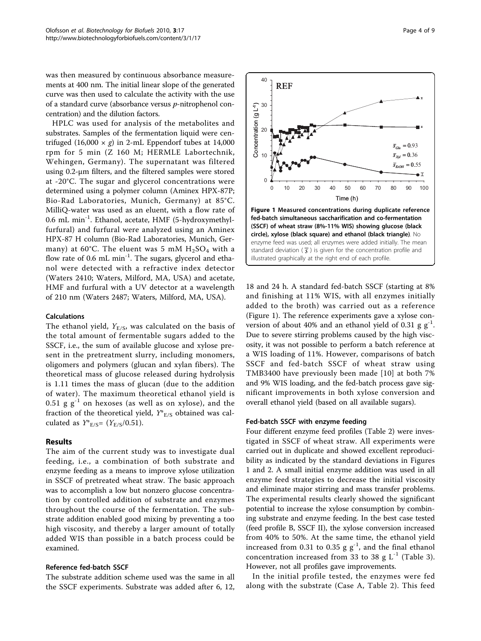<span id="page-3-0"></span>was then measured by continuous absorbance measurements at 400 nm. The initial linear slope of the generated curve was then used to calculate the activity with the use of a standard curve (absorbance versus p-nitrophenol concentration) and the dilution factors.

HPLC was used for analysis of the metabolites and substrates. Samples of the fermentation liquid were centrifuged  $(16,000 \times g)$  in 2-mL Eppendorf tubes at 14,000 rpm for 5 min (Z 160 M; HERMLE Labortechnik, Wehingen, Germany). The supernatant was filtered using 0.2-μm filters, and the filtered samples were stored at -20°C. The sugar and glycerol concentrations were determined using a polymer column (Aminex HPX-87P; Bio-Rad Laboratories, Munich, Germany) at 85°C. MilliQ-water was used as an eluent, with a flow rate of 0.6 mL min-1. Ethanol, acetate, HMF (5-hydroxymethylfurfural) and furfural were analyzed using an Aminex HPX-87 H column (Bio-Rad Laboratories, Munich, Germany) at 60°C. The eluent was 5 mM  $H<sub>2</sub>SO<sub>4</sub>$  with a flow rate of 0.6 mL min<sup>-1</sup>. The sugars, glycerol and ethanol were detected with a refractive index detector (Waters 2410; Waters, Milford, MA, USA) and acetate, HMF and furfural with a UV detector at a wavelength of 210 nm (Waters 2487; Waters, Milford, MA, USA).

# Calculations

The ethanol yield,  $Y_{E/S}$ , was calculated on the basis of the total amount of fermentable sugars added to the SSCF, i.e., the sum of available glucose and xylose present in the pretreatment slurry, including monomers, oligomers and polymers (glucan and xylan fibers). The theoretical mass of glucose released during hydrolysis is 1.11 times the mass of glucan (due to the addition of water). The maximum theoretical ethanol yield is 0.51 g  $g^{-1}$  on hexoses (as well as on xylose), and the fraction of the theoretical yield,  $Y^*_{E/S}$  obtained was calculated as  $Y^*_{E/S} = (Y_{E/S}/0.51)$ .

#### Results

The aim of the current study was to investigate dual feeding, i.e., a combination of both substrate and enzyme feeding as a means to improve xylose utilization in SSCF of pretreated wheat straw. The basic approach was to accomplish a low but nonzero glucose concentration by controlled addition of substrate and enzymes throughout the course of the fermentation. The substrate addition enabled good mixing by preventing a too high viscosity, and thereby a larger amount of totally added WIS than possible in a batch process could be examined.

#### Reference fed-batch SSCF

The substrate addition scheme used was the same in all the SSCF experiments. Substrate was added after 6, 12,



18 and 24 h. A standard fed-batch SSCF (starting at 8% and finishing at 11% WIS, with all enzymes initially added to the broth) was carried out as a reference (Figure 1). The reference experiments gave a xylose conversion of about 40% and an ethanol yield of 0.31 g  $g^{-1}$ . Due to severe stirring problems caused by the high viscosity, it was not possible to perform a batch reference at a WIS loading of 11%. However, comparisons of batch SSCF and fed-batch SSCF of wheat straw using TMB3400 have previously been made [[10](#page-7-0)] at both 7% and 9% WIS loading, and the fed-batch process gave significant improvements in both xylose conversion and overall ethanol yield (based on all available sugars).

#### Fed-batch SSCF with enzyme feeding

Four different enzyme feed profiles (Table [2\)](#page-4-0) were investigated in SSCF of wheat straw. All experiments were carried out in duplicate and showed excellent reproducibility as indicated by the standard deviations in Figures 1 and [2.](#page-4-0) A small initial enzyme addition was used in all enzyme feed strategies to decrease the initial viscosity and eliminate major stirring and mass transfer problems. The experimental results clearly showed the significant potential to increase the xylose consumption by combining substrate and enzyme feeding. In the best case tested (feed profile B, SSCF II), the xylose conversion increased from 40% to 50%. At the same time, the ethanol yield increased from 0.31 to 0.35 g  $g^{-1}$ , and the final ethanol concentration increased from [3](#page-5-0)3 to 38 g  $L^{-1}$  (Table 3). However, not all profiles gave improvements.

In the initial profile tested, the enzymes were fed along with the substrate (Case A, Table [2\)](#page-4-0). This feed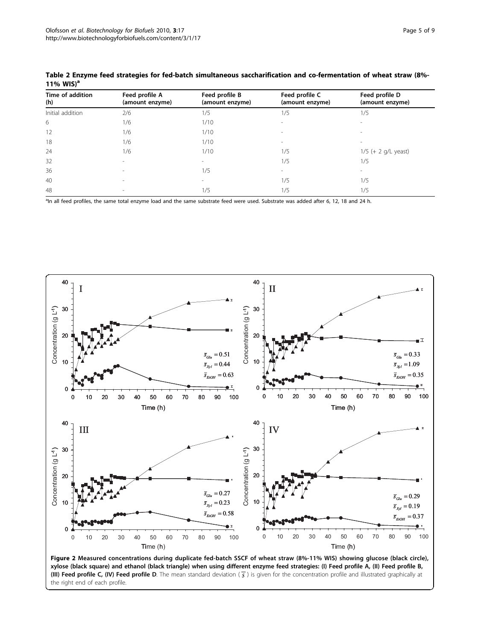| Time of addition<br>(h) | Feed profile A<br>(amount enzyme) | Feed profile B<br>(amount enzyme) | Feed profile C<br>(amount enzyme) | Feed profile D<br>(amount enzyme) |
|-------------------------|-----------------------------------|-----------------------------------|-----------------------------------|-----------------------------------|
| Initial addition        | 2/6                               | 1/5                               | 1/5                               | 1/5                               |
| 6                       | 1/6                               | 1/10                              | $\overline{\phantom{a}}$          |                                   |
| 12                      | 1/6                               | 1/10                              | $\overline{\phantom{a}}$          |                                   |
| 18                      | 1/6                               | 1/10                              | $\overline{\phantom{a}}$          |                                   |
| 24                      | 1/6                               | 1/10                              | 1/5                               | $1/5$ (+ 2 g/L yeast)             |
| 32                      | $\overline{\phantom{a}}$          | $\sim$                            | 1/5                               | 1/5                               |
| 36                      | $\overline{\phantom{a}}$          | 1/5                               | $\overline{\phantom{a}}$          |                                   |
| 40                      | $\overline{\phantom{a}}$          | $\sim$                            | 1/5                               | 1/5                               |
| 48                      | $\overline{\phantom{a}}$          | 1/5                               | 1/5                               | 1/5                               |

<span id="page-4-0"></span>Table 2 Enzyme feed strategies for fed-batch simultaneous saccharification and co-fermentation of wheat straw (8%- 11% WIS)<sup>a</sup>

<sup>a</sup>In all feed profiles, the same total enzyme load and the same substrate feed were used. Substrate was added after 6, 12, 18 and 24 h.



(III) Feed profile C, (IV) Feed profile D. The mean standard deviation ( *s* ) is given for the concentration profile and illustrated graphically at the right end of each profile.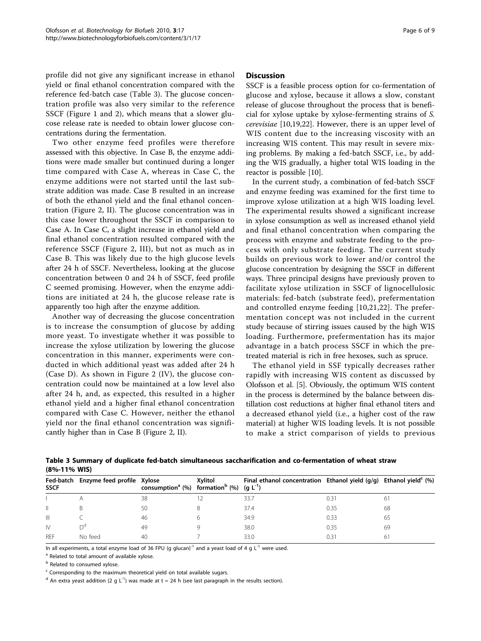<span id="page-5-0"></span>profile did not give any significant increase in ethanol yield or final ethanol concentration compared with the reference fed-batch case (Table 3). The glucose concentration profile was also very similar to the reference SSCF (Figure [1](#page-3-0) and [2\)](#page-4-0), which means that a slower glucose release rate is needed to obtain lower glucose concentrations during the fermentation.

Two other enzyme feed profiles were therefore assessed with this objective. In Case B, the enzyme additions were made smaller but continued during a longer time compared with Case A, whereas in Case C, the enzyme additions were not started until the last substrate addition was made. Case B resulted in an increase of both the ethanol yield and the final ethanol concentration (Figure [2](#page-4-0), II). The glucose concentration was in this case lower throughout the SSCF in comparison to Case A. In Case C, a slight increase in ethanol yield and final ethanol concentration resulted compared with the reference SSCF (Figure [2,](#page-4-0) III), but not as much as in Case B. This was likely due to the high glucose levels after 24 h of SSCF. Nevertheless, looking at the glucose concentration between 0 and 24 h of SSCF, feed profile C seemed promising. However, when the enzyme additions are initiated at 24 h, the glucose release rate is apparently too high after the enzyme addition.

Another way of decreasing the glucose concentration is to increase the consumption of glucose by adding more yeast. To investigate whether it was possible to increase the xylose utilization by lowering the glucose concentration in this manner, experiments were conducted in which additional yeast was added after 24 h (Case D). As shown in Figure [2](#page-4-0) (IV), the glucose concentration could now be maintained at a low level also after 24 h, and, as expected, this resulted in a higher ethanol yield and a higher final ethanol concentration compared with Case C. However, neither the ethanol yield nor the final ethanol concentration was significantly higher than in Case B (Figure [2](#page-4-0), II).

#### **Discussion**

SSCF is a feasible process option for co-fermentation of glucose and xylose, because it allows a slow, constant release of glucose throughout the process that is beneficial for xylose uptake by xylose-fermenting strains of S. cerevisiae [[10,19,22\]](#page-7-0). However, there is an upper level of WIS content due to the increasing viscosity with an increasing WIS content. This may result in severe mixing problems. By making a fed-batch SSCF, i.e., by adding the WIS gradually, a higher total WIS loading in the reactor is possible [[10\]](#page-7-0).

In the current study, a combination of fed-batch SSCF and enzyme feeding was examined for the first time to improve xylose utilization at a high WIS loading level. The experimental results showed a significant increase in xylose consumption as well as increased ethanol yield and final ethanol concentration when comparing the process with enzyme and substrate feeding to the process with only substrate feeding. The current study builds on previous work to lower and/or control the glucose concentration by designing the SSCF in different ways. Three principal designs have previously proven to facilitate xylose utilization in SSCF of lignocellulosic materials: fed-batch (substrate feed), prefermentation and controlled enzyme feeding [[10,21](#page-7-0),[22\]](#page-7-0). The prefermentation concept was not included in the current study because of stirring issues caused by the high WIS loading. Furthermore, prefermentation has its major advantage in a batch process SSCF in which the pretreated material is rich in free hexoses, such as spruce.

The ethanol yield in SSF typically decreases rather rapidly with increasing WIS content as discussed by Olofsson et al. [\[5](#page-7-0)]. Obviously, the optimum WIS content in the process is determined by the balance between distillation cost reductions at higher final ethanol titers and a decreased ethanol yield (i.e., a higher cost of the raw material) at higher WIS loading levels. It is not possible to make a strict comparison of yields to previous

Table 3 Summary of duplicate fed-batch simultaneous saccharification and co-fermentation of wheat straw (8%-11% WIS)

| <b>SSCF</b>  | Fed-batch Enzyme feed profile Xylose | consumption <sup>a</sup> (%) formation <sup>b</sup> (%) (g $L^{-1}$ ) | Xvlitol | Final ethanol concentration Ethanol yield $(q/q)$ Ethanol yield <sup>c</sup> $(\%)$ |      |    |
|--------------|--------------------------------------|-----------------------------------------------------------------------|---------|-------------------------------------------------------------------------------------|------|----|
|              |                                      | 38                                                                    |         | 33.7                                                                                | 0.31 | 61 |
|              |                                      | 50                                                                    |         | 37.4                                                                                | 0.35 | 68 |
| Ш            |                                      | 46                                                                    |         | 34.9                                                                                | 0.33 | 65 |
| $\mathsf{N}$ | ีำ⊲                                  | 49                                                                    |         | 38.0                                                                                | 0.35 | 69 |
| <b>RFF</b>   | No feed                              | 40                                                                    |         | 33.0                                                                                | 0.31 | 61 |

In all experiments, a total enzyme load of 36 FPU (g glucan) $^{-1}$  and a yeast load of 4 g L $^{-1}$  were used.

<sup>a</sup> Related to total amount of available xylose.

**b** Related to consumed xylose.

Corresponding to the maximum theoretical yield on total available sugars.

<sup>d</sup> An extra yeast addition (2 g L<sup>-1</sup>) was made at t = 24 h (see last paragraph in the results section).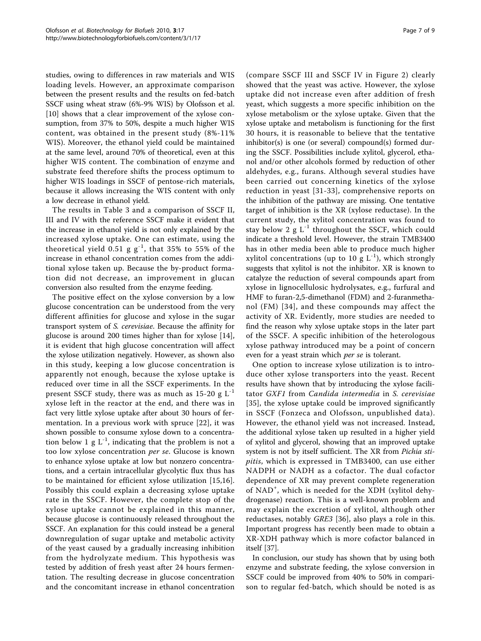studies, owing to differences in raw materials and WIS loading levels. However, an approximate comparison between the present results and the results on fed-batch SSCF using wheat straw (6%-9% WIS) by Olofsson et al. [[10\]](#page-7-0) shows that a clear improvement of the xylose consumption, from 37% to 50%, despite a much higher WIS content, was obtained in the present study (8%-11% WIS). Moreover, the ethanol yield could be maintained at the same level, around 70% of theoretical, even at this higher WIS content. The combination of enzyme and substrate feed therefore shifts the process optimum to higher WIS loadings in SSCF of pentose-rich materials, because it allows increasing the WIS content with only a low decrease in ethanol yield.

The results in Table [3](#page-5-0) and a comparison of SSCF II, III and IV with the reference SSCF make it evident that the increase in ethanol yield is not only explained by the increased xylose uptake. One can estimate, using the theoretical yield 0.51 g  $g^{-1}$ , that 35% to 55% of the increase in ethanol concentration comes from the additional xylose taken up. Because the by-product formation did not decrease, an improvement in glucan conversion also resulted from the enzyme feeding.

The positive effect on the xylose conversion by a low glucose concentration can be understood from the very different affinities for glucose and xylose in the sugar transport system of S. cerevisiae. Because the affinity for glucose is around 200 times higher than for xylose [\[14](#page-7-0)], it is evident that high glucose concentration will affect the xylose utilization negatively. However, as shown also in this study, keeping a low glucose concentration is apparently not enough, because the xylose uptake is reduced over time in all the SSCF experiments. In the present SSCF study, there was as much as  $15-20$  g L<sup>-1</sup> xylose left in the reactor at the end, and there was in fact very little xylose uptake after about 30 hours of fermentation. In a previous work with spruce [[22\]](#page-7-0), it was shown possible to consume xylose down to a concentration below 1 g  $L^{-1}$ , indicating that the problem is not a too low xylose concentration per se. Glucose is known to enhance xylose uptake at low but nonzero concentrations, and a certain intracellular glycolytic flux thus has to be maintained for efficient xylose utilization [[15,16](#page-7-0)]. Possibly this could explain a decreasing xylose uptake rate in the SSCF. However, the complete stop of the xylose uptake cannot be explained in this manner, because glucose is continuously released throughout the SSCF. An explanation for this could instead be a general downregulation of sugar uptake and metabolic activity of the yeast caused by a gradually increasing inhibition from the hydrolyzate medium. This hypothesis was tested by addition of fresh yeast after 24 hours fermentation. The resulting decrease in glucose concentration and the concomitant increase in ethanol concentration

(compare SSCF III and SSCF IV in Figure [2\)](#page-4-0) clearly showed that the yeast was active. However, the xylose uptake did not increase even after addition of fresh yeast, which suggests a more specific inhibition on the xylose metabolism or the xylose uptake. Given that the xylose uptake and metabolism is functioning for the first 30 hours, it is reasonable to believe that the tentative inhibitor(s) is one (or several) compound(s) formed during the SSCF. Possibilities include xylitol, glycerol, ethanol and/or other alcohols formed by reduction of other aldehydes, e.g., furans. Although several studies have been carried out concerning kinetics of the xylose reduction in yeast [[31](#page-7-0)-[33](#page-7-0)], comprehensive reports on the inhibition of the pathway are missing. One tentative target of inhibition is the XR (xylose reductase). In the current study, the xylitol concentration was found to stay below 2 g  $L^{-1}$  throughout the SSCF, which could indicate a threshold level. However, the strain TMB3400 has in other media been able to produce much higher xylitol concentrations (up to 10 g  $L^{-1}$ ), which strongly suggests that xylitol is not the inhibitor. XR is known to catalyze the reduction of several compounds apart from xylose in lignocellulosic hydrolysates, e.g., furfural and HMF to furan-2,5-dimethanol (FDM) and 2-furanmethanol (FM) [[34\]](#page-7-0), and these compounds may affect the activity of XR. Evidently, more studies are needed to find the reason why xylose uptake stops in the later part of the SSCF. A specific inhibition of the heterologous xylose pathway introduced may be a point of concern even for a yeast strain which per se is tolerant.

One option to increase xylose utilization is to introduce other xylose transporters into the yeast. Recent results have shown that by introducing the xylose facilitator GXF1 from Candida intermedia in S. cerevisiae [[35](#page-7-0)], the xylose uptake could be improved significantly in SSCF (Fonzeca and Olofsson, unpublished data). However, the ethanol yield was not increased. Instead, the additional xylose taken up resulted in a higher yield of xylitol and glycerol, showing that an improved uptake system is not by itself sufficient. The XR from Pichia stipitis, which is expressed in TMB3400, can use either NADPH or NADH as a cofactor. The dual cofactor dependence of XR may prevent complete regeneration of NAD<sup>+</sup>, which is needed for the XDH (xylitol dehydrogenase) reaction. This is a well-known problem and may explain the excretion of xylitol, although other reductases, notably GRE3 [[36\]](#page-8-0), also plays a role in this. Important progress has recently been made to obtain a XR-XDH pathway which is more cofactor balanced in itself [\[37](#page-8-0)].

In conclusion, our study has shown that by using both enzyme and substrate feeding, the xylose conversion in SSCF could be improved from 40% to 50% in comparison to regular fed-batch, which should be noted is as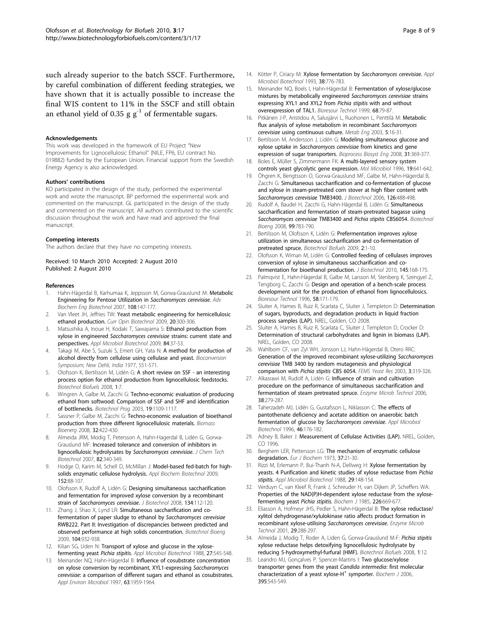<span id="page-7-0"></span>such already superior to the batch SSCF. Furthermore, by careful combination of different feeding strategies, we have shown that it is actually possible to increase the final WIS content to 11% in the SSCF and still obtain an ethanol yield of 0.35 g  $g^{-1}$  of fermentable sugars.

#### Acknowledgements

This work was developed in the framework of EU Project "New Improvements for Lignocellulosic Ethanol" (NILE, FP6, EU contract No. 019882) funded by the European Union. Financial support from the Swedish Energy Agency is also acknowledged.

#### Authors' contributions

KO participated in the design of the study, performed the experimental work and wrote the manuscript. BP performed the experimental work and commented on the manuscript. GL participated in the design of the study and commented on the manuscript. All authors contributed to the scientific discussion throughout the work and have read and approved the final manuscript.

#### Competing interests

The authors declare that they have no competing interests.

Received: 10 March 2010 Accepted: 2 August 2010 Published: 2 August 2010

#### References

- 1. Hahn-Hägerdal B, Karhumaa K, Jeppsson M, Gorwa-Grauslund M: [Metabolic](http://www.ncbi.nlm.nih.gov/pubmed/17846723?dopt=Abstract) [Engineering for Pentose Utilization in](http://www.ncbi.nlm.nih.gov/pubmed/17846723?dopt=Abstract) Saccharomyces cerevisiae. Adv Biochem Eng Biotechnol 2007, 108:147-177.
- 2. Van Vleet JH, Jeffries TW: [Yeast metabolic engineering for hemicellulosic](http://www.ncbi.nlm.nih.gov/pubmed/19545992?dopt=Abstract) [ethanol production.](http://www.ncbi.nlm.nih.gov/pubmed/19545992?dopt=Abstract) Curr Opin Biotechnol 2009, 20:300-306.
- Matsushika A, Inoue H, Kodaki T, Sawayama S: [Ethanol production from](http://www.ncbi.nlm.nih.gov/pubmed/19572128?dopt=Abstract) xylose in engineered Saccharomyces cerevisiae [strains: current state and](http://www.ncbi.nlm.nih.gov/pubmed/19572128?dopt=Abstract) [perspectives.](http://www.ncbi.nlm.nih.gov/pubmed/19572128?dopt=Abstract) Appl Microbiol Biotechnol 2009, 84:37-53.
- 4. Takagi M, Abe S, Suzuki S, Emert GH, Yata N: A method for production of alcohol directly from cellulose using cellulase and yeast. Bioconversion Symposium; New Dehli, India 1977, 551-571.
- 5. Olofsson K, Bertilsson M, Lidén G: [A short review on SSF an interesting](http://www.ncbi.nlm.nih.gov/pubmed/18471273?dopt=Abstract) [process option for ethanol production from lignocellulosic feedstocks.](http://www.ncbi.nlm.nih.gov/pubmed/18471273?dopt=Abstract) Biotechnol Biofuels 2008, 1:7.
- 6. Wingren A, Galbe M, Zacchi G: [Techno-economic evaluation of producing](http://www.ncbi.nlm.nih.gov/pubmed/12892470?dopt=Abstract) [ethanol from softwood: Comparison of SSF and SHF and identification](http://www.ncbi.nlm.nih.gov/pubmed/12892470?dopt=Abstract) [of bottlenecks.](http://www.ncbi.nlm.nih.gov/pubmed/12892470?dopt=Abstract) Biotechnol Prog 2003, 19:1109-1117.
- Sassner P, Galbe M, Zacchi G: Techno-economic evaluation of bioethanol production from three different lignocellulosic materials. Biomass Bioenerg 2008, 32:422-430.
- 8. Almeida JRM, Modig T, Petersson A, Hahn-Hagerdal B, Lidén G, Gorwa-Grauslund MF: Increased tolerance and conversion of inhibitors in lignocellulosic hydrolysates by Saccharomyces cerevisiae. J Chem Tech Biotechnol 2007, 82:340-349.
- Hodge D, Karim M, Schell D, McMillan J: [Model-based fed-batch for high](http://www.ncbi.nlm.nih.gov/pubmed/18512162?dopt=Abstract)[solids enzymatic cellulose hydrolysis.](http://www.ncbi.nlm.nih.gov/pubmed/18512162?dopt=Abstract) Appl Biochem Biotechnol 2009, 152:88-107.
- 10. Olofsson K, Rudolf A, Lidén G: [Designing simultaneous saccharification](http://www.ncbi.nlm.nih.gov/pubmed/18294716?dopt=Abstract) [and fermentation for improved xylose conversion by a recombinant](http://www.ncbi.nlm.nih.gov/pubmed/18294716?dopt=Abstract) strain of [Saccharomyces cerevisiae](http://www.ncbi.nlm.nih.gov/pubmed/18294716?dopt=Abstract). J Biotechnol 2008, 134:112-120.
- 11. Zhang J, Shao X, Lynd LR: [Simultaneous saccharification and co](http://www.ncbi.nlm.nih.gov/pubmed/19575440?dopt=Abstract)[fermentation of paper sludge to ethanol by](http://www.ncbi.nlm.nih.gov/pubmed/19575440?dopt=Abstract) Saccharomyces cerevisiae [RWB222. Part II: Investigation of discrepancies between predicted and](http://www.ncbi.nlm.nih.gov/pubmed/19575440?dopt=Abstract) [observed performance at high solids concentration.](http://www.ncbi.nlm.nih.gov/pubmed/19575440?dopt=Abstract) Biotechnol Bioeng 2009, 104:932-938.
- 12. Kilian SG, Uden N: Transport of xylose and glucose in the xylosefermenting yeast Pichia stipitis. Appl Microbiol Biotechnol 1988, 27:545-548.
- 13. Meinander NQ, Hahn-Hägerdal B: [Influence of cosubstrate concentration](http://www.ncbi.nlm.nih.gov/pubmed/9143128?dopt=Abstract) [on xylose conversion by recombinant, XYL1-expressing](http://www.ncbi.nlm.nih.gov/pubmed/9143128?dopt=Abstract) Saccharomyces cerevisiae[: a comparison of different sugars and ethanol as cosubstrates.](http://www.ncbi.nlm.nih.gov/pubmed/9143128?dopt=Abstract) Appl Environ Microbiol 1997, 63:1959-1964.
- 14. Kötter P, Ciriacy M: Xylose fermentation by Saccharomyces cerevisiae. Appl Microbiol Biotechnol 1993, 38:776-783.
- 15. Meinander NQ, Boels I, Hahn-Hägerdal B: Fermentation of xylose/glucose mixtures by metabolically engineered Saccharomyces cerevisiae strains expressing XYL1 and XYL2 from Pichia stipitis with and without overexpression of TAL1. Bioresour Technol 1999, 68:79-87.
- 16. Pitkänen J-P, Aristidou A, Salusjärvi L, Ruohonen L, Penttilä M: [Metabolic](http://www.ncbi.nlm.nih.gov/pubmed/12749841?dopt=Abstract) [flux analysis of xylose metabolism in recombinant](http://www.ncbi.nlm.nih.gov/pubmed/12749841?dopt=Abstract) Saccharomyces cerevisiae [using continuous culture.](http://www.ncbi.nlm.nih.gov/pubmed/12749841?dopt=Abstract) Metab Eng 2003, 5:16-31.
- 17. Bertilsson M, Andersson J, Lidén G: [Modeling simultaneous glucose and](http://www.ncbi.nlm.nih.gov/pubmed/17985160?dopt=Abstract) xylose uptake in [Saccharomyces cerevisiae](http://www.ncbi.nlm.nih.gov/pubmed/17985160?dopt=Abstract) from kinetics and gene [expression of sugar transporters.](http://www.ncbi.nlm.nih.gov/pubmed/17985160?dopt=Abstract) Bioprocess Biosyst Eng 2008, 31:369-377.
- 18. Boles E, Müller S, Zimmermann FK: [A multi-layered sensory system](http://www.ncbi.nlm.nih.gov/pubmed/8830254?dopt=Abstract) [controls yeast glycolytic gene expression.](http://www.ncbi.nlm.nih.gov/pubmed/8830254?dopt=Abstract) Mol Microbiol 1996, 19:641-642.
- 19. Öhgren K, Bengtsson O, Gorwa-Grauslund MF, Galbe M, Hahn-Hägerdal B, Zacchi G: [Simultaneous saccharification and co-fermentation of glucose](http://www.ncbi.nlm.nih.gov/pubmed/16828190?dopt=Abstract) [and xylose in steam-pretreated corn stover at high fiber content with](http://www.ncbi.nlm.nih.gov/pubmed/16828190?dopt=Abstract) [Saccharomyces cerevisiae](http://www.ncbi.nlm.nih.gov/pubmed/16828190?dopt=Abstract) TMB3400. J Biotechnol 2006, 126:488-498.
- 20. Rudolf A, Baudel H, Zacchi G, Hahn-Hägerdal B, Lidén G: [Simultaneous](http://www.ncbi.nlm.nih.gov/pubmed/17787015?dopt=Abstract) [saccharification and fermentation of steam-pretreated bagasse using](http://www.ncbi.nlm.nih.gov/pubmed/17787015?dopt=Abstract) [Saccharomyces cerevisiae](http://www.ncbi.nlm.nih.gov/pubmed/17787015?dopt=Abstract) TMB3400 and Pichia stipitis CBS6054. Biotechnol Bioeng 2008, 99:783-790.
- 21. Bertilsson M, Olofsson K, Lidén G: [Prefermentation improves xylose](http://www.ncbi.nlm.nih.gov/pubmed/19144158?dopt=Abstract) [utilization in simultaneous saccharification and co-fermentation of](http://www.ncbi.nlm.nih.gov/pubmed/19144158?dopt=Abstract) [pretreated spruce.](http://www.ncbi.nlm.nih.gov/pubmed/19144158?dopt=Abstract) Biotechnol Biofuels 2009, 2:1-10.
- 22. Olofsson K, Wiman M, Lidén G: [Controlled feeding of cellulases improves](http://www.ncbi.nlm.nih.gov/pubmed/19900494?dopt=Abstract) [conversion of xylose in simultaneous saccharification and co](http://www.ncbi.nlm.nih.gov/pubmed/19900494?dopt=Abstract)[fermentation for bioethanol production.](http://www.ncbi.nlm.nih.gov/pubmed/19900494?dopt=Abstract) *J Biotechnol* 2010, 145:168-175.
- Palmqvist E, Hahn-Hägerdal B, Galbe M, Larsson M, Stenberg K, Szengyel Z, Tengborg C, Zacchi G: Design and operation of a bench-scale process development unit for the production of ethanol from lignocellulosics. Bioresour Technol 1996, 58:171-179.
- 24. Sluiter A, Hames B, Ruiz R, Scarlata C, Sluiter J, Templeton D: Determination of sugars, byproducts, and degradation products in liquid fraction process samples (LAP). NREL, Golden, CO 2008.
- Sluiter A, Hames B, Ruiz R, Scarlata C, Sluiter J, Templeton D, Crocker D: Determination of structural carbohydrates and lignin in biomass (LAP). NREL, Golden, CO 2008.
- 26. Wahlbom CF, van Zyl WH, Jonsson LJ, Hahn-Hägerdal B, Otero RRC: [Generation of the improved recombinant xylose-utilizing](http://www.ncbi.nlm.nih.gov/pubmed/12689639?dopt=Abstract) Saccharomyces cerevisiae [TMB 3400 by random mutagenesis and physiological](http://www.ncbi.nlm.nih.gov/pubmed/12689639?dopt=Abstract) [comparison with](http://www.ncbi.nlm.nih.gov/pubmed/12689639?dopt=Abstract) Pichia stipitis CBS 6054. FEMS Yeast Res 2003, 3:319-326.
- 27. Alkasrawi M, Rudolf A, Lidén G: Influence of strain and cultivation procedure on the performance of simultaneous saccharification and fermentation of steam pretreated spruce. Enzyme Microb Technol 2006, 38:279-287.
- 28. Taherzadeh MJ, Lidén G, Gustafsson L, Niklasson C: [The effects of](http://www.ncbi.nlm.nih.gov/pubmed/8987648?dopt=Abstract) [pantothenate deficiency and acetate addition on anaerobic batch](http://www.ncbi.nlm.nih.gov/pubmed/8987648?dopt=Abstract) [fermentation of glucose by](http://www.ncbi.nlm.nih.gov/pubmed/8987648?dopt=Abstract) Saccharomyces cerevisiae. Appl Microbiol Biotechnol 1996, 46:176-182.
- 29. Adney B, Baker J: Measurement of Cellulase Activities (LAP). NREL, Golden, CO 1996.
- 30. Berghem LER, Pettersson LG: [The mechanism of enzymatic cellulose](http://www.ncbi.nlm.nih.gov/pubmed/4738092?dopt=Abstract) [degradation.](http://www.ncbi.nlm.nih.gov/pubmed/4738092?dopt=Abstract) Fur J Biochem 1973, 37:21-30.
- 31. Rizzi M, Erlemann P, Bui-Thanh N-A, Dellweg H: Xylose fermentation by yeasts. 4 Purification and kinetic studies of xylose reductase from Pichia stipitis. Appl Microbiol Biotechnol 1988, 29:148-154.
- 32. Verduyn C, van Kleef R, Frank J, Schreuder H, van Dijken JP, Scheffers WA: [Properties of the NAD\(P\)H-dependent xylose reductase from the xylose](http://www.ncbi.nlm.nih.gov/pubmed/3921014?dopt=Abstract)[fermenting yeast](http://www.ncbi.nlm.nih.gov/pubmed/3921014?dopt=Abstract) Pichia stipitis. Biochem J 1985, 226:669-677.
- 33. Eliasson A, Hofmeyr JHS, Pedler S, Hahn-Hägerdal B: The xylose reductase/ xylitol dehydrogenase/xylulokinase ratio affects product formation in recombinant xylose-utilising Saccharomyces cerevisiae. Enzyme Microb Technol 2001, 29:288-297.
- 34. Almeida J, Modig T, Roder A, Liden G, Gorwa-Grauslund M-F: [Pichia stipitis](http://www.ncbi.nlm.nih.gov/pubmed/18547412?dopt=Abstract) [xylose reductase helps detoxifying lignocellulosic hydrolysate by](http://www.ncbi.nlm.nih.gov/pubmed/18547412?dopt=Abstract) [reducing 5-hydroxymethyl-furfural \(HMF\).](http://www.ncbi.nlm.nih.gov/pubmed/18547412?dopt=Abstract) Biotechnol Biofuels 2008, 1:12.
- Leandro MJ, Gonçalves P, Spencer-Martins I: [Two glucose/xylose](http://www.ncbi.nlm.nih.gov/pubmed/16402921?dopt=Abstract) [transporter genes from the yeast](http://www.ncbi.nlm.nih.gov/pubmed/16402921?dopt=Abstract) Candida intermedia: first molecular [characterization](http://www.ncbi.nlm.nih.gov/pubmed/16402921?dopt=Abstract) [of](http://www.ncbi.nlm.nih.gov/pubmed/16402921?dopt=Abstract) [a](http://www.ncbi.nlm.nih.gov/pubmed/16402921?dopt=Abstract) [yeast](http://www.ncbi.nlm.nih.gov/pubmed/16402921?dopt=Abstract) [xylose-H](http://www.ncbi.nlm.nih.gov/pubmed/16402921?dopt=Abstract)<sup>+</sup> [symporter.](http://www.ncbi.nlm.nih.gov/pubmed/16402921?dopt=Abstract) Biochem J 2006, 395:543-549.